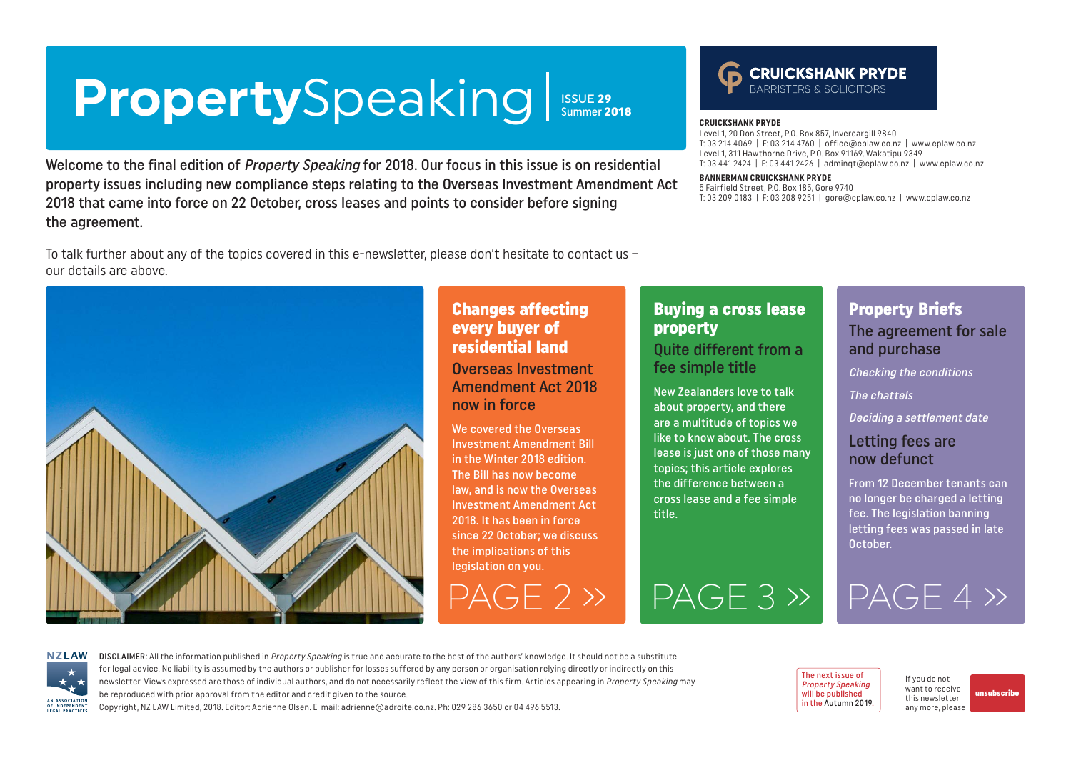# <span id="page-0-0"></span>PropertySpeaking Issue 29

Welcome to the final edition of Property Speaking for 2018. Our focus in this issue is on residential property issues including new compliance steps relating to the Overseas Investment Amendment Act 2018 that came into force on 22 October, cross leases and points to consider before signing the agreement.

To talk further about any of the topics covered in this e-newsletter, please don't hesitate to contact us – our details are above.



#### Changes affecting every buyer of residential land

Overseas Investment Amendment Act 2018 now in force

We covered the Overseas Investment Amendment Bill in the Winter 2018 edition. The Bill has now become law, and is now the Overseas Investment Amendment Act 2018. It has been in force since 22 October; we discuss the implications of this legislation on you.

#### Buying a cross lease property

**CRUICKSHANK PRYDE**

**BANNERMAN CRUICKSHANK PRYDE** 5 Fairfield Street, P.O. Box 185, Gore 9740

Level 1, 20 Don Street, P.O. Box 857, Invercargill 9840

Level 1, 311 Hawthorne Drive, P.O. Box 91169, Wakatipu 9349

T: 03 214 4069 | F: 03 214 4760 | office@cplaw.co.nz | www.cplaw.co.nz

**CRUICKSHANK PRYDE** 

T: 03 209 0183 | F: 03 208 9251 | gore@cplaw.co.nz | www.cplaw.co.nz

T: 03 441 2424 | F: 03 441 2426 | adminqt@cplaw.co.nz | www.cplaw.co.nz

#### Quite different from a fee simple title

New Zealanders love to talk about property, and there are a multitude of topics we like to know about. The cross lease is just one of those many topics; this article explores the difference between a cross lease and a fee simple title.

[PAGE 2 »](#page-1-0) [PAGE 3 »](#page-2-0) [PAGE 4 »](#page-3-0)

### Property Briefs

The agreement for sale and purchase

Checking the conditions

The chattels

Deciding a settlement date

#### Letting fees are now defunct

From 12 December tenants can no longer be charged a letting fee. The legislation banning letting fees was passed in late October.

**NZLAW** AN ASSOCIATION OF INDEPENDENT LEGAL PRACTICE

DISCLAIMER: All the information published in Property Speaking is true and accurate to the best of the authors' knowledge. It should not be a substitute for legal advice. No liability is assumed by the authors or publisher for losses suffered by any person or organisation relying directly or indirectly on this newsletter. Views expressed are those of individual authors, and do not necessarily reflect the view of this firm. Articles appearing in Property Speaking may be reproduced with prior approval from the editor and credit given to the source.

Copyright, NZ LAW Limited, 2018. Editor: Adrienne Olsen. [E-mail: adrienne@adroite.co.nz](mailto:adrienne@adroite.co.nz). Ph: 029 286 3650 or 04 496 5513.



If you do not want to receive this newsletter any more, please

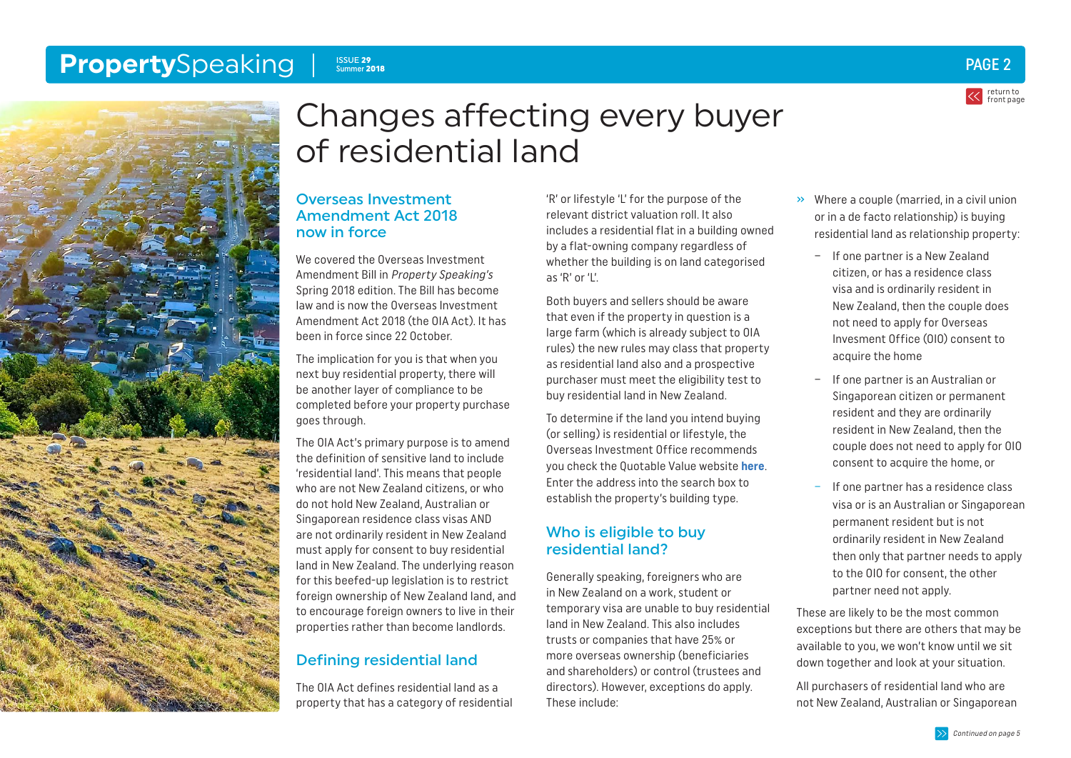#### <span id="page-1-0"></span>**Property**Speaking **Property**Speaking **PAGE 2** ISSUE 29 ISSUE 29<br>Summer 2018





## Changes affecting every buyer of residential land

#### Overseas Investment Amendment Act 2018 now in force

We covered the Overseas Investment Amendment Bill in Property Speaking's Spring 2018 edition. The Bill has become law and is now the Overseas Investment Amendment Act 2018 (the OIA Act). It has been in force since 22 October.

The implication for you is that when you next buy residential property, there will be another layer of compliance to be completed before your property purchase goes through.

The OIA Act's primary purpose is to amend the definition of sensitive land to include 'residential land'. This means that people who are not New Zealand citizens, or who do not hold New Zealand, Australian or Singaporean residence class visas AND are not ordinarily resident in New Zealand must apply for consent to buy residential land in New Zealand. The underlying reason for this beefed-up legislation is to restrict foreign ownership of New Zealand land, and to encourage foreign owners to live in their properties rather than become landlords.

### Defining residential land

The OIA Act defines residential land as a property that has a category of residential

'R' or lifestyle 'L' for the purpose of the relevant district valuation roll. It also includes a residential flat in a building owned by a flat-owning company regardless of whether the building is on land categorised as 'R' or 'L'.

Both buyers and sellers should be aware that even if the property in question is a large farm (which is already subject to OIA rules) the new rules may class that property as residential land also and a prospective purchaser must meet the eligibility test to buy residential land in New Zealand.

To determine if the land you intend buying (or selling) is residential or lifestyle, the Overseas Investment Office recommends you check the Quotable Value website **[here](https://www.qv.co.nz/)**. Enter the address into the search box to establish the property's building type.

#### Who is eligible to buy residential land?

Generally speaking, foreigners who are in New Zealand on a work, student or temporary visa are unable to buy residential land in New Zealand. This also includes trusts or companies that have 25% or more overseas ownership (beneficiaries and shareholders) or control (trustees and directors). However, exceptions do apply. These include:

- » Where a couple (married, in a civil union or in a de facto relationship) is buying residential land as relationship property:
	- If one partner is a New Zealand citizen, or has a residence class visa and is ordinarily resident in New Zealand, then the couple does not need to apply for Overseas Invesment Office (OIO) consent to acquire the home
	- If one partner is an Australian or Singaporean citizen or permanent resident and they are ordinarily resident in New Zealand, then the couple does not need to apply for OIO consent to acquire the home, or
	- If one partner has a residence class visa or is an Australian or Singaporean permanent resident but is not ordinarily resident in New Zealand then only that partner needs to apply to the OIO for consent, the other partner need not apply.

These are likely to be the most common exceptions but there are others that may be available to you, we won't know until we sit down together and look at your situation.

All purchasers of residential land who are not New Zealand, Australian or Singaporean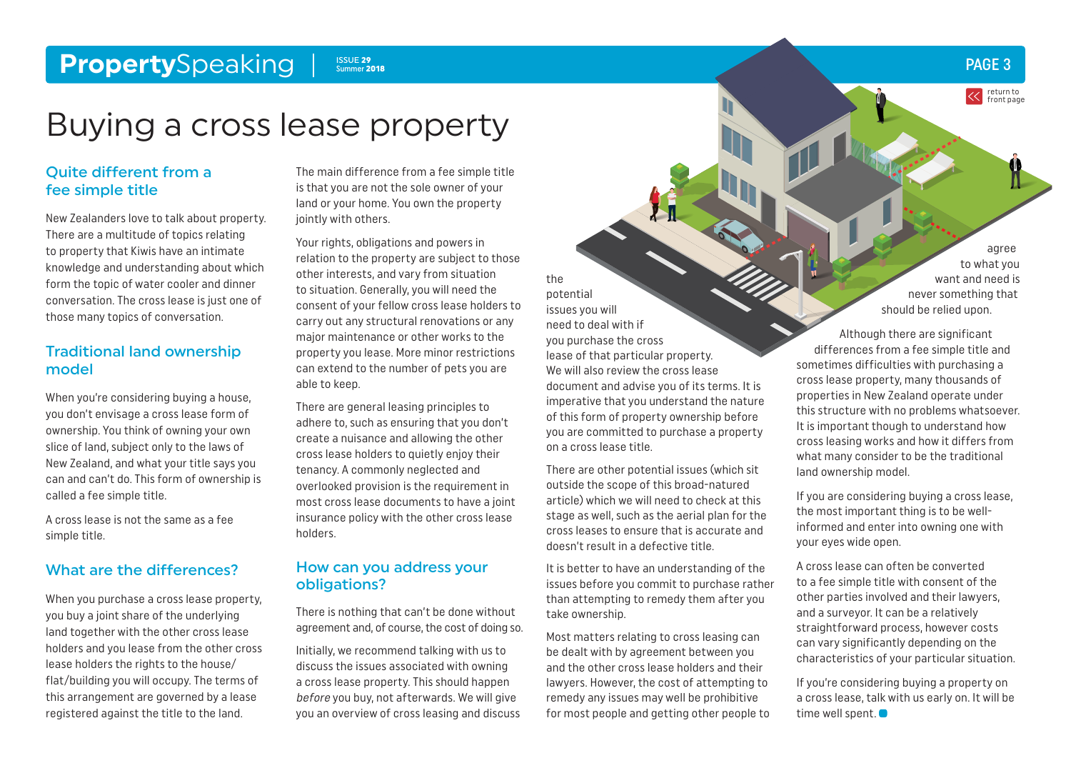#### <span id="page-2-0"></span>**Property**Speaking ISSUE 29<br>Summer 2018

### Buying a cross lease property

#### Quite different from a fee simple title

New Zealanders love to talk about property. There are a multitude of topics relating to property that Kiwis have an intimate knowledge and understanding about which form the topic of water cooler and dinner conversation. The cross lease is just one of those many topics of conversation.

#### Traditional land ownership model

When you're considering buying a house, you don't envisage a cross lease form of ownership. You think of owning your own slice of land, subject only to the laws of New Zealand, and what your title says you can and can't do. This form of ownership is called a fee simple title.

A cross lease is not the same as a fee simple title.

#### What are the differences?

When you purchase a cross lease property, you buy a joint share of the underlying land together with the other cross lease holders and you lease from the other cross lease holders the rights to the house/ flat/building you will occupy. The terms of this arrangement are governed by a lease registered against the title to the land.

The main difference from a fee simple title is that you are not the sole owner of your land or your home. You own the property jointly with others.

Your rights, obligations and powers in relation to the property are subject to those other interests, and vary from situation to situation. Generally, you will need the consent of your fellow cross lease holders to carry out any structural renovations or any major maintenance or other works to the property you lease. More minor restrictions can extend to the number of pets you are able to keep.

There are general leasing principles to adhere to, such as ensuring that you don't create a nuisance and allowing the other cross lease holders to quietly enjoy their tenancy. A commonly neglected and overlooked provision is the requirement in most cross lease documents to have a joint insurance policy with the other cross lease holders.

#### How can you address your obligations?

There is nothing that can't be done without agreement and, of course, the cost of doing so.

Initially, we recommend talking with us to discuss the issues associated with owning a cross lease property. This should happen before you buy, not afterwards. We will give you an overview of cross leasing and discuss

the potential issues you will need to deal with if you purchase the cross lease of that particular property. We will also review the cross lease document and advise you of its terms. It is imperative that you understand the nature of this form of property ownership before you are committed to purchase a property on a cross lease title.

There are other potential issues (which sit outside the scope of this broad-natured article) which we will need to check at this stage as well, such as the aerial plan for the cross leases to ensure that is accurate and doesn't result in a defective title.

It is better to have an understanding of the issues before you commit to purchase rather than attempting to remedy them after you take ownership.

Most matters relating to cross leasing can be dealt with by agreement between you and the other cross lease holders and their lawyers. However, the cost of attempting to remedy any issues may well be prohibitive for most people and getting other people to

agree to what you want and need is never something that should be relied upon.

Although there are significant differences from a fee simple title and sometimes difficulties with purchasing a cross lease property, many thousands of properties in New Zealand operate under this structure with no problems whatsoever. It is important though to understand how cross leasing works and how it differs from what many consider to be the traditional land ownership model.

If you are considering buying a cross lease, the most important thing is to be wellinformed and enter into owning one with your eyes wide open.

A cross lease can often be converted to a fee simple title with consent of the other parties involved and their lawyers, and a surveyor. It can be a relatively straightforward process, however costs can vary significantly depending on the characteristics of your particular situation.

If you're considering buying a property on a cross lease, talk with us early on. It will be time well spent.  $\bullet$ 

PAGE 3

return to [front page](#page-0-0)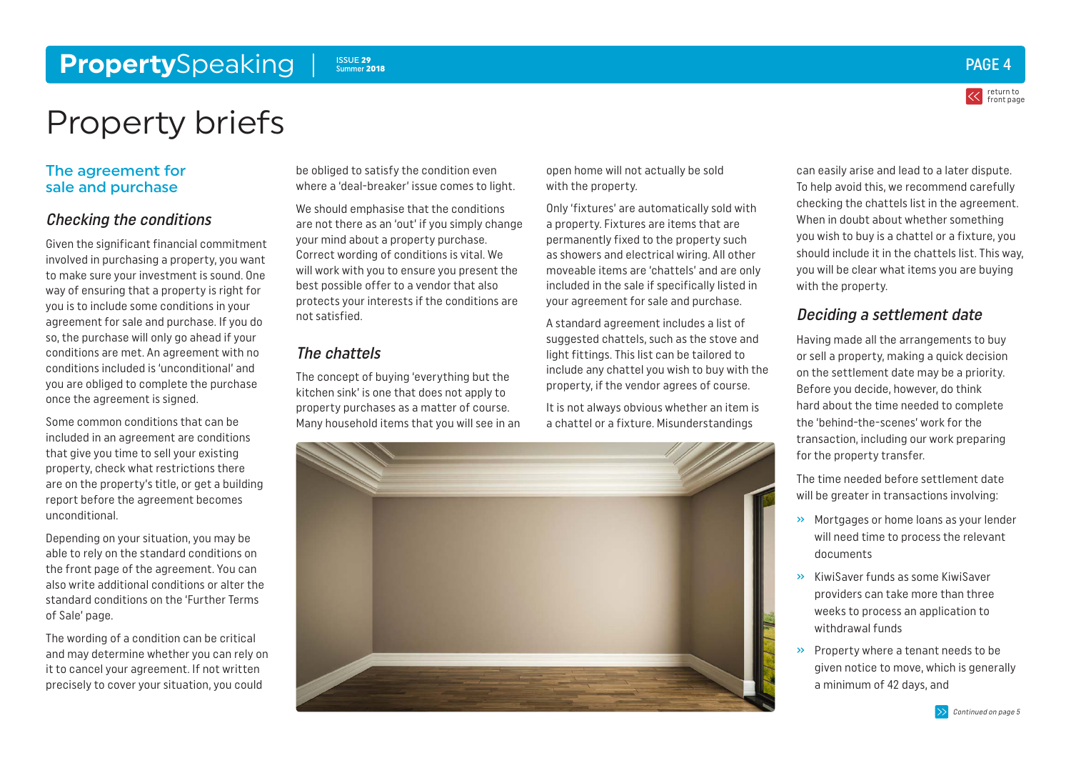#### <span id="page-3-0"></span>**Property**Speaking ISSUE 29 Summer 2018



return to [front page](#page-0-0)

### Property briefs

#### The agreement for sale and purchase

#### Checking the conditions

Given the significant financial commitment involved in purchasing a property, you want to make sure your investment is sound. One way of ensuring that a property is right for you is to include some conditions in your agreement for sale and purchase. If you do so, the purchase will only go ahead if your conditions are met. An agreement with no conditions included is 'unconditional' and you are obliged to complete the purchase once the agreement is signed.

Some common conditions that can be included in an agreement are conditions that give you time to sell your existing property, check what restrictions there are on the property's title, or get a building report before the agreement becomes unconditional.

Depending on your situation, you may be able to rely on the standard conditions on the front page of the agreement. You can also write additional conditions or alter the standard conditions on the 'Further Terms of Sale' page.

The wording of a condition can be critical and may determine whether you can rely on it to cancel your agreement. If not written precisely to cover your situation, you could

be obliged to satisfy the condition even where a 'deal-breaker' issue comes to light.

We should emphasise that the conditions are not there as an 'out' if you simply change your mind about a property purchase. Correct wording of conditions is vital. We will work with you to ensure you present the best possible offer to a vendor that also protects your interests if the conditions are not satisfied.

#### The chattels

The concept of buying 'everything but the kitchen sink' is one that does not apply to property purchases as a matter of course. Many household items that you will see in an open home will not actually be sold with the property.

Only 'fixtures' are automatically sold with a property. Fixtures are items that are permanently fixed to the property such as showers and electrical wiring. All other moveable items are 'chattels' and are only included in the sale if specifically listed in your agreement for sale and purchase.

A standard agreement includes a list of suggested chattels, such as the stove and light fittings. This list can be tailored to include any chattel you wish to buy with the property, if the vendor agrees of course.

It is not always obvious whether an item is a chattel or a fixture. Misunderstandings



can easily arise and lead to a later dispute. To help avoid this, we recommend carefully checking the chattels list in the agreement. When in doubt about whether something you wish to buy is a chattel or a fixture, you should include it in the chattels list. This way, you will be clear what items you are buying with the property.

#### Deciding a settlement date

Having made all the arrangements to buy or sell a property, making a quick decision on the settlement date may be a priority. Before you decide, however, do think hard about the time needed to complete the 'behind-the-scenes' work for the transaction, including our work preparing for the property transfer.

The time needed before settlement date will be greater in transactions involving:

- » Mortgages or home loans as your lender will need time to process the relevant documents
- » KiwiSaver funds as some KiwiSaver providers can take more than three weeks to process an application to withdrawal funds
- » Property where a tenant needs to be given notice to move, which is generally a minimum of 42 days, and